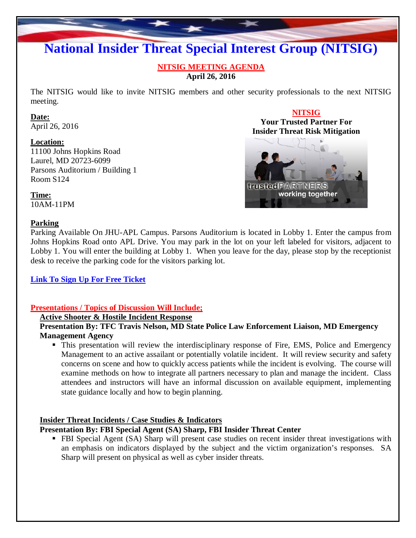# **National Insider Threat Special Interest Group (NITSIG)**

#### **NITSIG MEETING AGENDA April 26, 2016**

The NITSIG would like to invite NITSIG members and other security professionals to the next NITSIG meeting.

#### **Date:**

April 26, 2016

#### **Location:**

11100 Johns Hopkins Road Laurel, MD 20723-6099 Parsons Auditorium / Building 1 Room S124

# **NITSIG Your Trusted Partner For Insider Threat Risk MitigationfinusfedPARTINERS** working together

**Time:** 10AM-11PM

#### **Parking**

Parking Available On JHU-APL Campus. Parsons Auditorium is located in Lobby 1. Enter the campus from Johns Hopkins Road onto APL Drive. You may park in the lot on your left labeled for visitors, adjacent to Lobby 1. You will enter the building at Lobby 1. When you leave for the day, please stop by the receptionist desk to receive the parking code for the visitors parking lot.

# **Link To Sign Up For Free [Ticket](https://www.eventbrite.com/e/national-insider-threat-special-interest-group-meeting-4-26-16-tickets-24205735005)**

#### **Presentations / Topics of Discussion Will Include;**

#### **Active Shooter & Hostile Incident Response**

**Presentation By: TFC Travis Nelson, MD State Police Law Enforcement Liaison, MD Emergency Management Agency**

• This presentation will review the interdisciplinary response of Fire, EMS, Police and Emergency Management to an active assailant or potentially volatile incident. It will review security and safety concerns on scene and how to quickly access patients while the incident is evolving. The course will examine methods on how to integrate all partners necessary to plan and manage the incident. Class attendees and instructors will have an informal discussion on available equipment, implementing state guidance locally and how to begin planning.

#### **Insider Threat Incidents / Case Studies & Indicators**

#### **Presentation By: FBI Special Agent (SA) Sharp, FBI Insider Threat Center**

 FBI Special Agent (SA) Sharp will present case studies on recent insider threat investigations with an emphasis on indicators displayed by the subject and the victim organization's responses. SA Sharp will present on physical as well as cyber insider threats.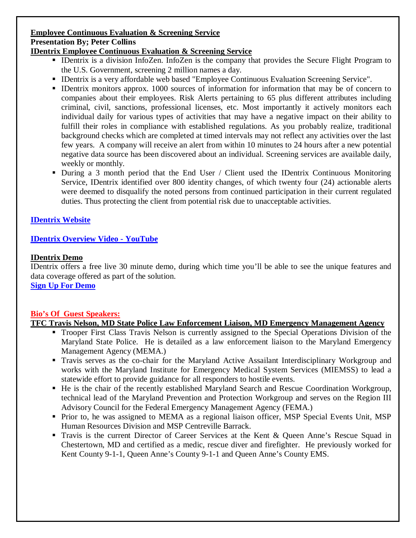# **Employee Continuous Evaluation & Screening Service Presentation By; Peter Collins**

#### **IDentrix Employee Continuous Evaluation & Screening Service**

- IDentrix is a division InfoZen. InfoZen is the company that provides the Secure Flight Program to the U.S. Government, screening 2 million names a day.
- IDentrix is a very affordable web based "Employee Continuous Evaluation Screening Service".
- IDentrix monitors approx. 1000 sources of information for information that may be of concern to companies about their employees. Risk Alerts pertaining to 65 plus different attributes including criminal, civil, sanctions, professional licenses, etc. Most importantly it actively monitors each individual daily for various types of activities that may have a negative impact on their ability to fulfill their roles in compliance with established regulations. As you probably realize, traditional background checks which are completed at timed intervals may not reflect any activities over the last few years. A company will receive an alert from within 10 minutes to 24 hours after a new potential negative data source has been discovered about an individual. Screening services are available daily, weekly or monthly.
- During a 3 month period that the End User / Client used the IDentrix Continuous Monitoring Service, IDentrix identified over 800 identity changes, of which twenty four (24) actionable alerts were deemed to disqualify the noted persons from continued participation in their current regulated duties. Thus protecting the client from potential risk due to unacceptable activities.

# **[IDentrix](http://www.identrix.com/) Website**

# **IDentrix [Overview](https://www.youtube.com/watch?v=o6LDx6C0nvk&feature=youtu.be) Video - YouTube**

#### **IDentrix Demo**

IDentrix offers a free live 30 minute demo, during which time you'll be able to see the unique features and data coverage offered as part of the solution.

**Sign Up For [Demo](http://visitor.r20.constantcontact.com/manage/optin?v=001knl6dPq0Lzm1ul0qprKCaajCI_zO5lqhaNVWGcYTF1_dTERbSOhM1X4hI0o0xRAxqQRKoCD0D2kDTmCdfVSMWcrdjqZ1jQpvwa8sbxMlBVE=)**

# **Bio's Of Guest Speakers:**

# **TFC Travis Nelson, MD State Police Law Enforcement Liaison, MD Emergency Management Agency**

- **Trooper First Class Travis Nelson is currently assigned to the Special Operations Division of the** Maryland State Police. He is detailed as a law enforcement liaison to the Maryland Emergency Management Agency (MEMA.)
- Travis serves as the co-chair for the Maryland Active Assailant Interdisciplinary Workgroup and works with the Maryland Institute for Emergency Medical System Services (MIEMSS) to lead a statewide effort to provide guidance for all responders to hostile events.
- He is the chair of the recently established Maryland Search and Rescue Coordination Workgroup, technical lead of the Maryland Prevention and Protection Workgroup and serves on the Region III Advisory Council for the Federal Emergency Management Agency (FEMA.)
- **Prior to, he was assigned to MEMA as a regional liaison officer, MSP Special Events Unit, MSP** Human Resources Division and MSP Centreville Barrack.
- Travis is the current Director of Career Services at the Kent & Queen Anne's Rescue Squad in Chestertown, MD and certified as a medic, rescue diver and firefighter. He previously worked for Kent County 9-1-1, Queen Anne's County 9-1-1 and Queen Anne's County EMS.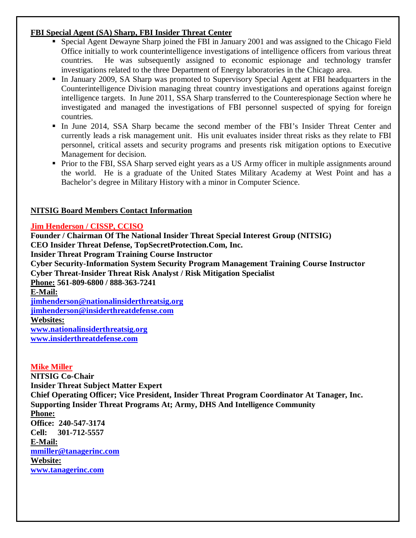#### **FBI Special Agent (SA) Sharp, FBI Insider Threat Center**

- Special Agent Dewayne Sharp joined the FBI in January 2001 and was assigned to the Chicago Field Office initially to work counterintelligence investigations of intelligence officers from various threat countries. He was subsequently assigned to economic espionage and technology transfer investigations related to the three Department of Energy laboratories in the Chicago area.
- In January 2009, SA Sharp was promoted to Supervisory Special Agent at FBI headquarters in the Counterintelligence Division managing threat country investigations and operations against foreign intelligence targets. In June 2011, SSA Sharp transferred to the Counterespionage Section where he investigated and managed the investigations of FBI personnel suspected of spying for foreign countries.
- In June 2014, SSA Sharp became the second member of the FBI's Insider Threat Center and currently leads a risk management unit. His unit evaluates insider threat risks as they relate to FBI personnel, critical assets and security programs and presents risk mitigation options to Executive Management for decision.
- Prior to the FBI, SSA Sharp served eight years as a US Army officer in multiple assignments around the world. He is a graduate of the United States Military Academy at West Point and has a Bachelor's degree in Military History with a minor in Computer Science.

# **NITSIG Board Members Contact Information**

# **Jim Henderson / CISSP, CCISO**

**Founder / Chairman Of The National Insider Threat Special Interest Group (NITSIG) CEO Insider Threat Defense, TopSecretProtection.Com, Inc. Insider Threat Program Training Course Instructor Cyber Security-Information System Security Program Management Training Course Instructor Cyber Threat-Insider Threat Risk Analyst / Risk Mitigation Specialist Phone: 561-809-6800 / 888-363-7241 E-Mail: jimhenderson@nationalinsiderthreatsig.org [jimhenderson@insiderthreatdefense.com](mailto:jimhenderson@insiderthreatdefense.com) Websites: www.nationalinsiderthreatsig.org [www.insiderthreatdefense.com](http://www.insiderthreatdefense.com/)**

# **Mike Miller**

**NITSIG Co-Chair Insider Threat Subject Matter Expert Chief Operating Officer; Vice President, Insider Threat Program Coordinator At Tanager, Inc. Supporting Insider Threat Programs At; Army, DHS And Intelligence Community Phone: Office: 240-547-3174 Cell: 301-712-5557 E-Mail: mmiller@tanagerinc.com Website: www.tanagerinc.com**